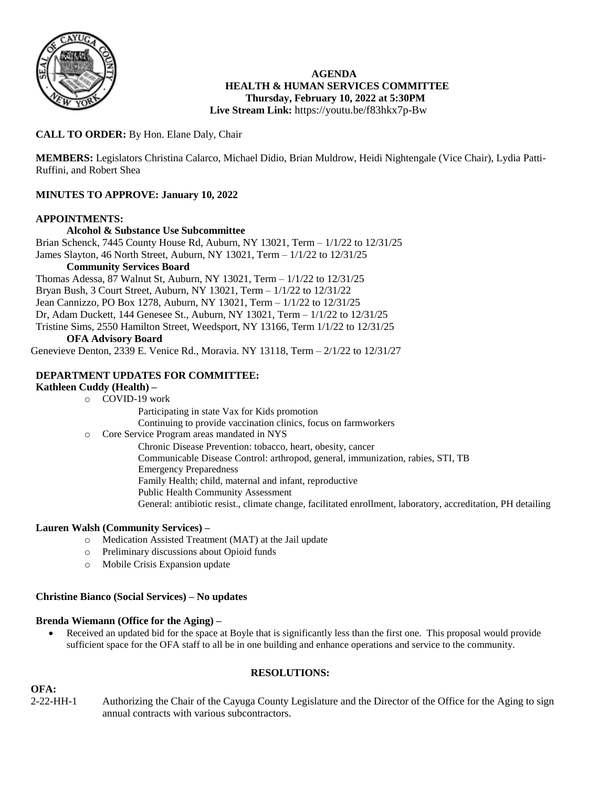

### **AGENDA HEALTH & HUMAN SERVICES COMMITTEE Thursday, February 10, 2022 at 5:30PM Live Stream Link:** <https://youtu.be/f83hkx7p-Bw>

# **CALL TO ORDER:** By Hon. Elane Daly, Chair

**MEMBERS:** Legislators Christina Calarco, Michael Didio, Brian Muldrow, Heidi Nightengale (Vice Chair), Lydia Patti-Ruffini, and Robert Shea

# **MINUTES TO APPROVE: January 10, 2022**

### **APPOINTMENTS:**

**Alcohol & Substance Use Subcommittee** Brian Schenck, 7445 County House Rd, Auburn, NY 13021, Term – 1/1/22 to 12/31/25 James Slayton, 46 North Street, Auburn, NY 13021, Term – 1/1/22 to 12/31/25 **Community Services Board**

Thomas Adessa, 87 Walnut St, Auburn, NY 13021, Term – 1/1/22 to 12/31/25 Bryan Bush, 3 Court Street, Auburn, NY 13021, Term – 1/1/22 to 12/31/22 Jean Cannizzo, PO Box 1278, Auburn, NY 13021, Term – 1/1/22 to 12/31/25 Dr, Adam Duckett, 144 Genesee St., Auburn, NY 13021, Term – 1/1/22 to 12/31/25 Tristine Sims, 2550 Hamilton Street, Weedsport, NY 13166, Term 1/1/22 to 12/31/25

### **OFA Advisory Board**

Genevieve Denton, 2339 E. Venice Rd., Moravia. NY 13118, Term – 2/1/22 to 12/31/27

### **DEPARTMENT UPDATES FOR COMMITTEE:**

### **Kathleen Cuddy (Health) –**

- o COVID-19 work
	- Participating in state Vax for Kids promotion
	- Continuing to provide vaccination clinics, focus on farmworkers
- o Core Service Program areas mandated in NYS
	- Chronic Disease Prevention: tobacco, heart, obesity, cancer Communicable Disease Control: arthropod, general, immunization, rabies, STI, TB Emergency Preparedness Family Health; child, maternal and infant, reproductive Public Health Community Assessment General: antibiotic resist., climate change, facilitated enrollment, laboratory, accreditation, PH detailing

### **Lauren Walsh (Community Services) –**

- o Medication Assisted Treatment (MAT) at the Jail update
- o Preliminary discussions about Opioid funds
- o Mobile Crisis Expansion update

### **Christine Bianco (Social Services) – No updates**

### **Brenda Wiemann (Office for the Aging) –**

 Received an updated bid for the space at Boyle that is significantly less than the first one. This proposal would provide sufficient space for the OFA staff to all be in one building and enhance operations and service to the community.

### **RESOLUTIONS:**

**OFA:**<br>2-22-HH-1 Authorizing the Chair of the Cayuga County Legislature and the Director of the Office for the Aging to sign annual contracts with various subcontractors.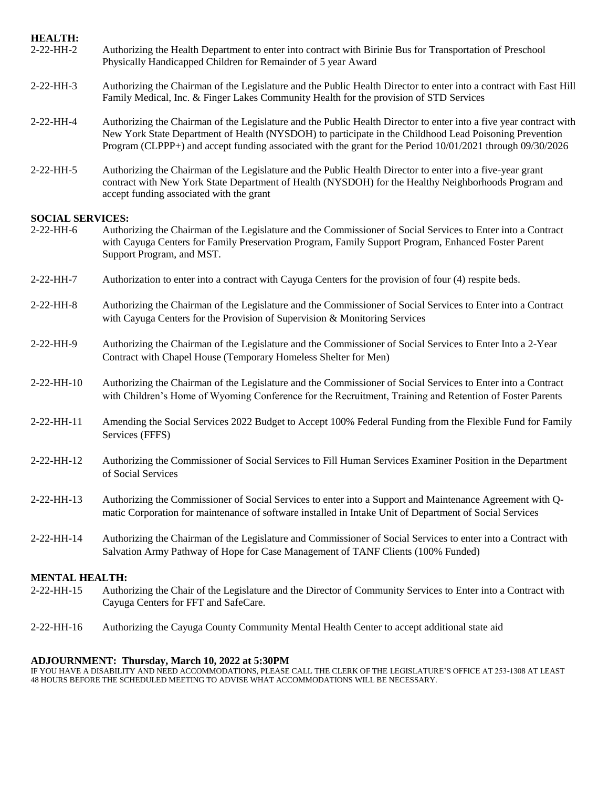| <b>HEALTH:</b><br>$2-22-HH-2$          | Authorizing the Health Department to enter into contract with Birinie Bus for Transportation of Preschool<br>Physically Handicapped Children for Remainder of 5 year Award                                                                                                                                                                 |
|----------------------------------------|--------------------------------------------------------------------------------------------------------------------------------------------------------------------------------------------------------------------------------------------------------------------------------------------------------------------------------------------|
| 2-22-HH-3                              | Authorizing the Chairman of the Legislature and the Public Health Director to enter into a contract with East Hill<br>Family Medical, Inc. & Finger Lakes Community Health for the provision of STD Services                                                                                                                               |
| 2-22-HH-4                              | Authorizing the Chairman of the Legislature and the Public Health Director to enter into a five year contract with<br>New York State Department of Health (NYSDOH) to participate in the Childhood Lead Poisoning Prevention<br>Program (CLPPP+) and accept funding associated with the grant for the Period 10/01/2021 through 09/30/2026 |
| $2-22-HH-5$                            | Authorizing the Chairman of the Legislature and the Public Health Director to enter into a five-year grant<br>contract with New York State Department of Health (NYSDOH) for the Healthy Neighborhoods Program and<br>accept funding associated with the grant                                                                             |
| <b>SOCIAL SERVICES:</b><br>$2-22-HH-6$ | Authorizing the Chairman of the Legislature and the Commissioner of Social Services to Enter into a Contract<br>with Cayuga Centers for Family Preservation Program, Family Support Program, Enhanced Foster Parent<br>Support Program, and MST.                                                                                           |
| $2-22-HH-7$                            | Authorization to enter into a contract with Cayuga Centers for the provision of four (4) respite beds.                                                                                                                                                                                                                                     |
| $2-22-HH-8$                            | Authorizing the Chairman of the Legislature and the Commissioner of Social Services to Enter into a Contract<br>with Cayuga Centers for the Provision of Supervision & Monitoring Services                                                                                                                                                 |
| 2-22-HH-9                              | Authorizing the Chairman of the Legislature and the Commissioner of Social Services to Enter Into a 2-Year<br>Contract with Chapel House (Temporary Homeless Shelter for Men)                                                                                                                                                              |
| 2-22-HH-10                             | Authorizing the Chairman of the Legislature and the Commissioner of Social Services to Enter into a Contract<br>with Children's Home of Wyoming Conference for the Recruitment, Training and Retention of Foster Parents                                                                                                                   |
| 2-22-HH-11                             | Amending the Social Services 2022 Budget to Accept 100% Federal Funding from the Flexible Fund for Family<br>Services (FFFS)                                                                                                                                                                                                               |
| 2-22-HH-12                             | Authorizing the Commissioner of Social Services to Fill Human Services Examiner Position in the Department<br>of Social Services                                                                                                                                                                                                           |
| 2-22-HH-13                             | Authorizing the Commissioner of Social Services to enter into a Support and Maintenance Agreement with Q-<br>matic Corporation for maintenance of software installed in Intake Unit of Department of Social Services                                                                                                                       |
| 2-22-HH-14                             | Authorizing the Chairman of the Legislature and Commissioner of Social Services to enter into a Contract with<br>Salvation Army Pathway of Hope for Case Management of TANF Clients (100% Funded)                                                                                                                                          |
| <b>MENTAL HEALTH:</b>                  |                                                                                                                                                                                                                                                                                                                                            |
| 2-22-HH-15                             | Authorizing the Chair of the Legislature and the Director of Community Services to Enter into a Contract with                                                                                                                                                                                                                              |

- Cayuga Centers for FFT and SafeCare.
- 2-22-HH-16 Authorizing the Cayuga County Community Mental Health Center to accept additional state aid

### **ADJOURNMENT: Thursday, March 10, 2022 at 5:30PM**

IF YOU HAVE A DISABILITY AND NEED ACCOMMODATIONS, PLEASE CALL THE CLERK OF THE LEGISLATURE'S OFFICE AT 253-1308 AT LEAST 48 HOURS BEFORE THE SCHEDULED MEETING TO ADVISE WHAT ACCOMMODATIONS WILL BE NECESSARY.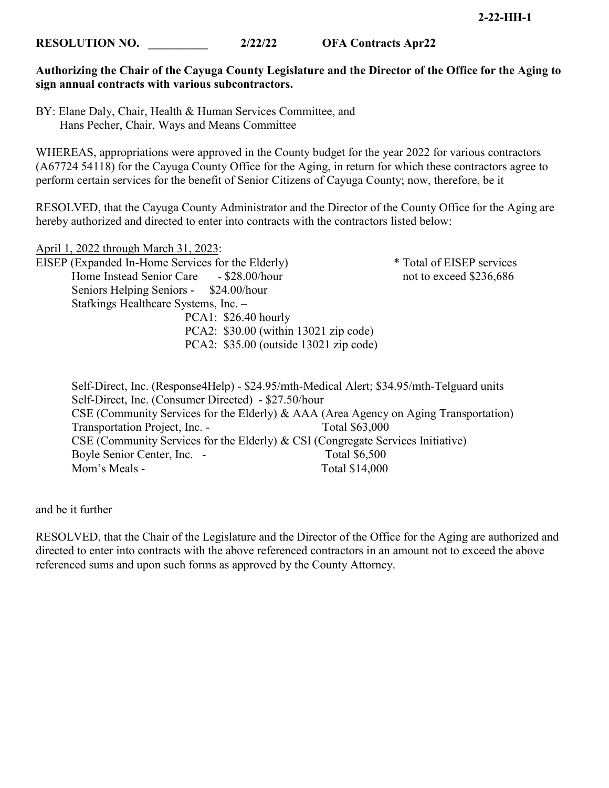**Authorizing the Chair of the Cayuga County Legislature and the Director of the Office for the Aging to sign annual contracts with various subcontractors.**

BY: Elane Daly, Chair, Health & Human Services Committee, and Hans Pecher, Chair, Ways and Means Committee

WHEREAS, appropriations were approved in the County budget for the year 2022 for various contractors (A67724 54118) for the Cayuga County Office for the Aging, in return for which these contractors agree to perform certain services for the benefit of Senior Citizens of Cayuga County; now, therefore, be it

RESOLVED, that the Cayuga County Administrator and the Director of the County Office for the Aging are hereby authorized and directed to enter into contracts with the contractors listed below:

April 1, 2022 through March 31, 2023: EISEP (Expanded In-Home Services for the Elderly) \* Total of EISEP services Home Instead Senior Care - \$28.00/hour not to exceed \$236,686 Seniors Helping Seniors - \$24.00/hour Stafkings Healthcare Systems, Inc. – PCA1: \$26.40 hourly PCA2: \$30.00 (within 13021 zip code) PCA2: \$35.00 (outside 13021 zip code)

Self-Direct, Inc. (Response4Help) - \$24.95/mth-Medical Alert; \$34.95/mth-Telguard units Self-Direct, Inc. (Consumer Directed) - \$27.50/hour CSE (Community Services for the Elderly) & AAA (Area Agency on Aging Transportation) Transportation Project, Inc. - Total \$63,000 CSE (Community Services for the Elderly) & CSI (Congregate Services Initiative) Boyle Senior Center, Inc. - Total \$6,500 Mom's Meals - Total \$14,000

and be it further

RESOLVED, that the Chair of the Legislature and the Director of the Office for the Aging are authorized and directed to enter into contracts with the above referenced contractors in an amount not to exceed the above referenced sums and upon such forms as approved by the County Attorney.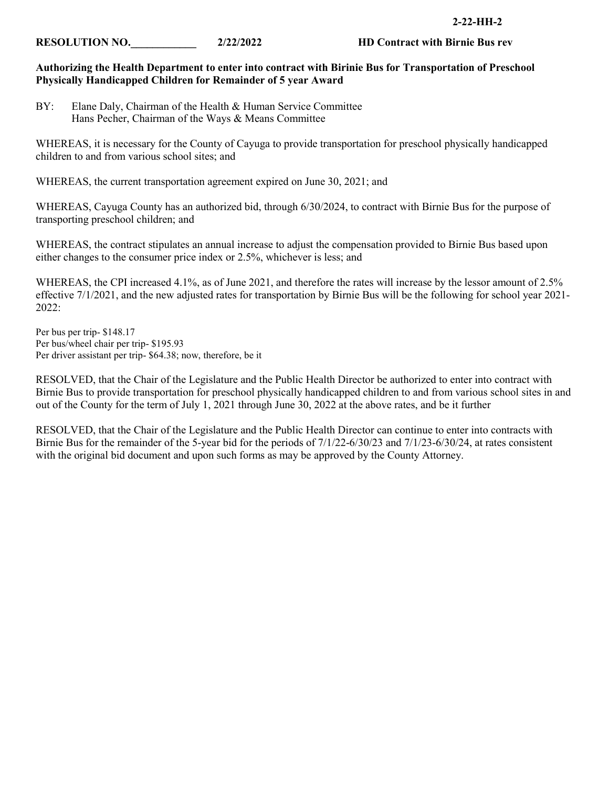### **RESOLUTION NO.** 2/22/2022 **HD Contract with Birnie Bus rev**

### **Authorizing the Health Department to enter into contract with Birinie Bus for Transportation of Preschool Physically Handicapped Children for Remainder of 5 year Award**

WHEREAS, it is necessary for the County of Cayuga to provide transportation for preschool physically handicapped children to and from various school sites; and

WHEREAS, the current transportation agreement expired on June 30, 2021; and

WHEREAS, Cayuga County has an authorized bid, through 6/30/2024, to contract with Birnie Bus for the purpose of transporting preschool children; and

WHEREAS, the contract stipulates an annual increase to adjust the compensation provided to Birnie Bus based upon either changes to the consumer price index or 2.5%, whichever is less; and

WHEREAS, the CPI increased 4.1%, as of June 2021, and therefore the rates will increase by the lessor amount of 2.5% effective 7/1/2021, and the new adjusted rates for transportation by Birnie Bus will be the following for school year 2021- 2022:

Per bus per trip- \$148.17 Per bus/wheel chair per trip- \$195.93 Per driver assistant per trip- \$64.38; now, therefore, be it

RESOLVED, that the Chair of the Legislature and the Public Health Director be authorized to enter into contract with Birnie Bus to provide transportation for preschool physically handicapped children to and from various school sites in and out of the County for the term of July 1, 2021 through June 30, 2022 at the above rates, and be it further

RESOLVED, that the Chair of the Legislature and the Public Health Director can continue to enter into contracts with Birnie Bus for the remainder of the 5-year bid for the periods of 7/1/22-6/30/23 and 7/1/23-6/30/24, at rates consistent with the original bid document and upon such forms as may be approved by the County Attorney.

BY: Elane Daly, Chairman of the Health & Human Service Committee Hans Pecher, Chairman of the Ways & Means Committee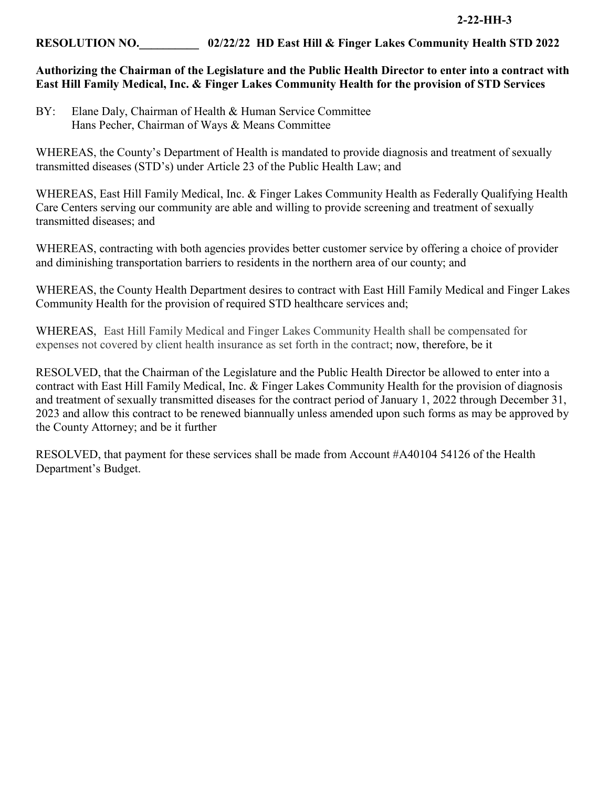# **RESOLUTION NO.\_\_\_\_\_\_\_\_\_\_ 02/22/22 HD East Hill & Finger Lakes Community Health STD 2022**

# **Authorizing the Chairman of the Legislature and the Public Health Director to enter into a contract with East Hill Family Medical, Inc. & Finger Lakes Community Health for the provision of STD Services**

BY: Elane Daly, Chairman of Health & Human Service Committee Hans Pecher, Chairman of Ways & Means Committee

WHEREAS, the County's Department of Health is mandated to provide diagnosis and treatment of sexually transmitted diseases (STD's) under Article 23 of the Public Health Law; and

WHEREAS, East Hill Family Medical, Inc. & Finger Lakes Community Health as Federally Qualifying Health Care Centers serving our community are able and willing to provide screening and treatment of sexually transmitted diseases; and

WHEREAS, contracting with both agencies provides better customer service by offering a choice of provider and diminishing transportation barriers to residents in the northern area of our county; and

WHEREAS, the County Health Department desires to contract with East Hill Family Medical and Finger Lakes Community Health for the provision of required STD healthcare services and;

WHEREAS, East Hill Family Medical and Finger Lakes Community Health shall be compensated for expenses not covered by client health insurance as set forth in the contract; now, therefore, be it

RESOLVED, that the Chairman of the Legislature and the Public Health Director be allowed to enter into a contract with East Hill Family Medical, Inc. & Finger Lakes Community Health for the provision of diagnosis and treatment of sexually transmitted diseases for the contract period of January 1, 2022 through December 31, 2023 and allow this contract to be renewed biannually unless amended upon such forms as may be approved by the County Attorney; and be it further

RESOLVED, that payment for these services shall be made from Account #A40104 54126 of the Health Department's Budget.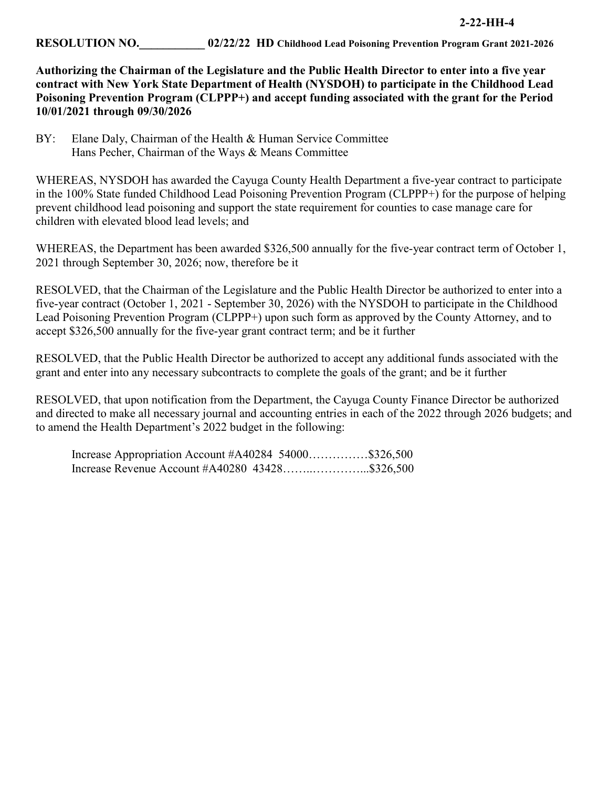**Authorizing the Chairman of the Legislature and the Public Health Director to enter into a five year contract with New York State Department of Health (NYSDOH) to participate in the Childhood Lead Poisoning Prevention Program (CLPPP+) and accept funding associated with the grant for the Period 10/01/2021 through 09/30/2026** 

BY: Elane Daly, Chairman of the Health & Human Service Committee Hans Pecher, Chairman of the Ways & Means Committee

WHEREAS, NYSDOH has awarded the Cayuga County Health Department a five-year contract to participate in the 100% State funded Childhood Lead Poisoning Prevention Program (CLPPP+) for the purpose of helping prevent childhood lead poisoning and support the state requirement for counties to case manage care for children with elevated blood lead levels; and

WHEREAS, the Department has been awarded \$326,500 annually for the five-year contract term of October 1, 2021 through September 30, 2026; now, therefore be it

RESOLVED, that the Chairman of the Legislature and the Public Health Director be authorized to enter into a five-year contract (October 1, 2021 - September 30, 2026) with the NYSDOH to participate in the Childhood Lead Poisoning Prevention Program (CLPPP+) upon such form as approved by the County Attorney, and to accept \$326,500 annually for the five-year grant contract term; and be it further

RESOLVED, that the Public Health Director be authorized to accept any additional funds associated with the grant and enter into any necessary subcontracts to complete the goals of the grant; and be it further

RESOLVED, that upon notification from the Department, the Cayuga County Finance Director be authorized and directed to make all necessary journal and accounting entries in each of the 2022 through 2026 budgets; and to amend the Health Department's 2022 budget in the following:

Increase Appropriation Account #A40284 54000……………\$326,500 Increase Revenue Account #A40280 43428……..…………...\$326,500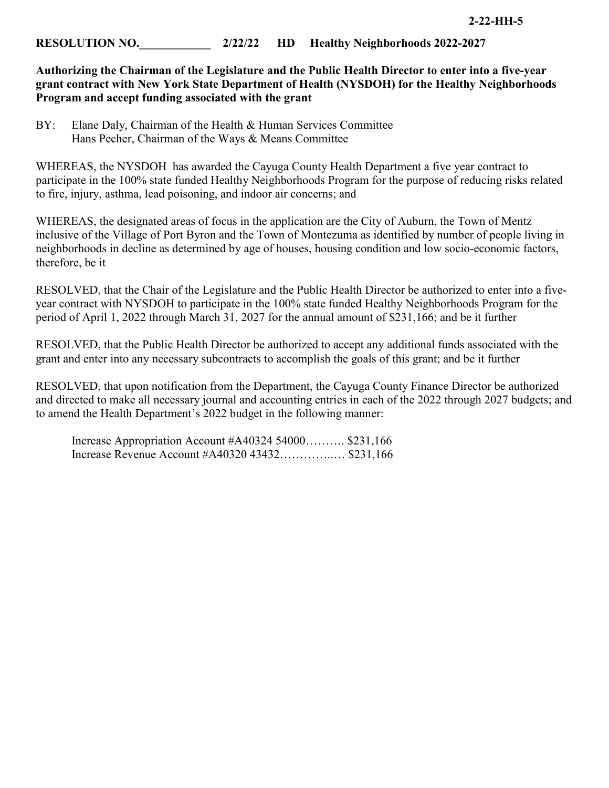# **RESOLUTION NO.** 2/22/22 **HD** Healthy Neighborhoods 2022-2027

**Authorizing the Chairman of the Legislature and the Public Health Director to enter into a five-year grant contract with New York State Department of Health (NYSDOH) for the Healthy Neighborhoods Program and accept funding associated with the grant** 

BY: Elane Daly, Chairman of the Health & Human Services Committee Hans Pecher, Chairman of the Ways & Means Committee

WHEREAS, the NYSDOH has awarded the Cayuga County Health Department a five year contract to participate in the 100% state funded Healthy Neighborhoods Program for the purpose of reducing risks related to fire, injury, asthma, lead poisoning, and indoor air concerns; and

WHEREAS, the designated areas of focus in the application are the City of Auburn, the Town of Mentz inclusive of the Village of Port Byron and the Town of Montezuma as identified by number of people living in neighborhoods in decline as determined by age of houses, housing condition and low socio-economic factors, therefore, be it

RESOLVED, that the Chair of the Legislature and the Public Health Director be authorized to enter into a fiveyear contract with NYSDOH to participate in the 100% state funded Healthy Neighborhoods Program for the period of April 1, 2022 through March 31, 2027 for the annual amount of \$231,166; and be it further

RESOLVED, that the Public Health Director be authorized to accept any additional funds associated with the grant and enter into any necessary subcontracts to accomplish the goals of this grant; and be it further

RESOLVED, that upon notification from the Department, the Cayuga County Finance Director be authorized and directed to make all necessary journal and accounting entries in each of the 2022 through 2027 budgets; and to amend the Health Department's 2022 budget in the following manner:

| Increase Appropriation Account $#A4032454000$ \$231,166 |  |
|---------------------------------------------------------|--|
| Increase Revenue Account #A40320 43432 \$231,166        |  |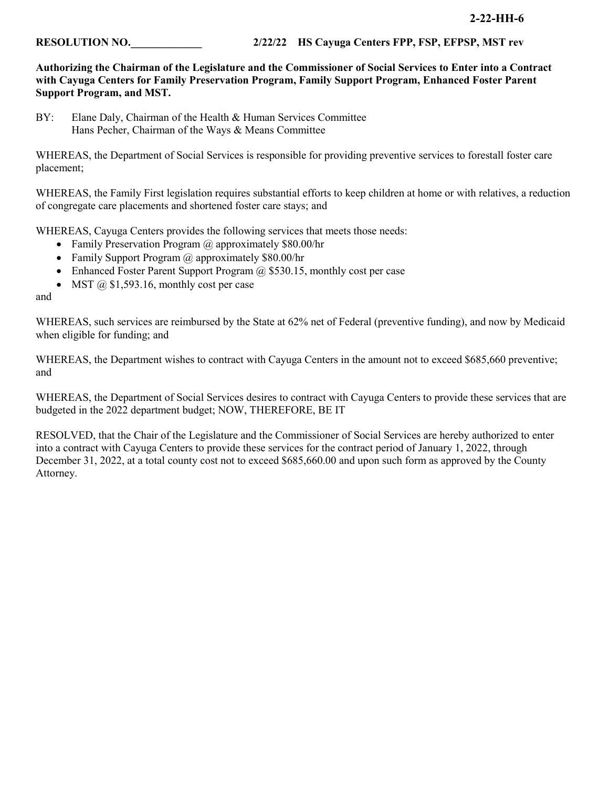### **2-22-HH-6**

**RESOLUTION NO.** 2/22/22 **HS Cayuga Centers FPP, FSP, EFPSP, MST rev** 

**Authorizing the Chairman of the Legislature and the Commissioner of Social Services to Enter into a Contract with Cayuga Centers for Family Preservation Program, Family Support Program, Enhanced Foster Parent Support Program, and MST.**

BY: Elane Daly, Chairman of the Health & Human Services Committee Hans Pecher, Chairman of the Ways & Means Committee

WHEREAS, the Department of Social Services is responsible for providing preventive services to forestall foster care placement;

WHEREAS, the Family First legislation requires substantial efforts to keep children at home or with relatives, a reduction of congregate care placements and shortened foster care stays; and

WHEREAS, Cayuga Centers provides the following services that meets those needs:

- Family Preservation Program @ approximately \$80.00/hr
- Family Support Program @ approximately \$80.00/hr
- Enhanced Foster Parent Support Program  $\omega$  \$530.15, monthly cost per case
- MST  $\omega$  \$1,593.16, monthly cost per case

and

WHEREAS, such services are reimbursed by the State at 62% net of Federal (preventive funding), and now by Medicaid when eligible for funding; and

WHEREAS, the Department wishes to contract with Cayuga Centers in the amount not to exceed \$685,660 preventive; and

WHEREAS, the Department of Social Services desires to contract with Cayuga Centers to provide these services that are budgeted in the 2022 department budget; NOW, THEREFORE, BE IT

RESOLVED, that the Chair of the Legislature and the Commissioner of Social Services are hereby authorized to enter into a contract with Cayuga Centers to provide these services for the contract period of January 1, 2022, through December 31, 2022, at a total county cost not to exceed \$685,660.00 and upon such form as approved by the County Attorney.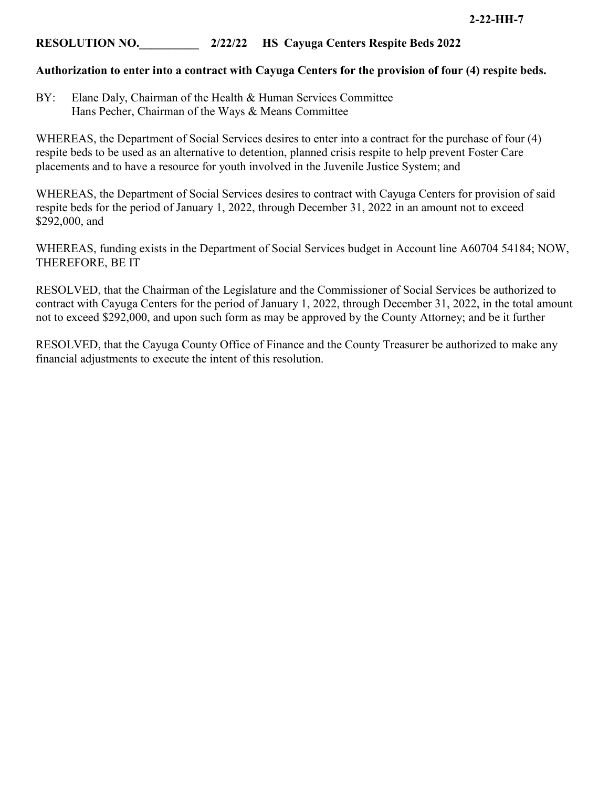# **RESOLUTION NO.\_\_\_\_\_\_\_\_\_\_ 2/22/22 HS Cayuga Centers Respite Beds 2022**

# **Authorization to enter into a contract with Cayuga Centers for the provision of four (4) respite beds.**

BY: Elane Daly, Chairman of the Health & Human Services Committee Hans Pecher, Chairman of the Ways & Means Committee

WHEREAS, the Department of Social Services desires to enter into a contract for the purchase of four (4) respite beds to be used as an alternative to detention, planned crisis respite to help prevent Foster Care placements and to have a resource for youth involved in the Juvenile Justice System; and

WHEREAS, the Department of Social Services desires to contract with Cayuga Centers for provision of said respite beds for the period of January 1, 2022, through December 31, 2022 in an amount not to exceed \$292,000, and

WHEREAS, funding exists in the Department of Social Services budget in Account line A60704 54184; NOW, THEREFORE, BE IT

RESOLVED, that the Chairman of the Legislature and the Commissioner of Social Services be authorized to contract with Cayuga Centers for the period of January 1, 2022, through December 31, 2022, in the total amount not to exceed \$292,000, and upon such form as may be approved by the County Attorney; and be it further

RESOLVED, that the Cayuga County Office of Finance and the County Treasurer be authorized to make any financial adjustments to execute the intent of this resolution.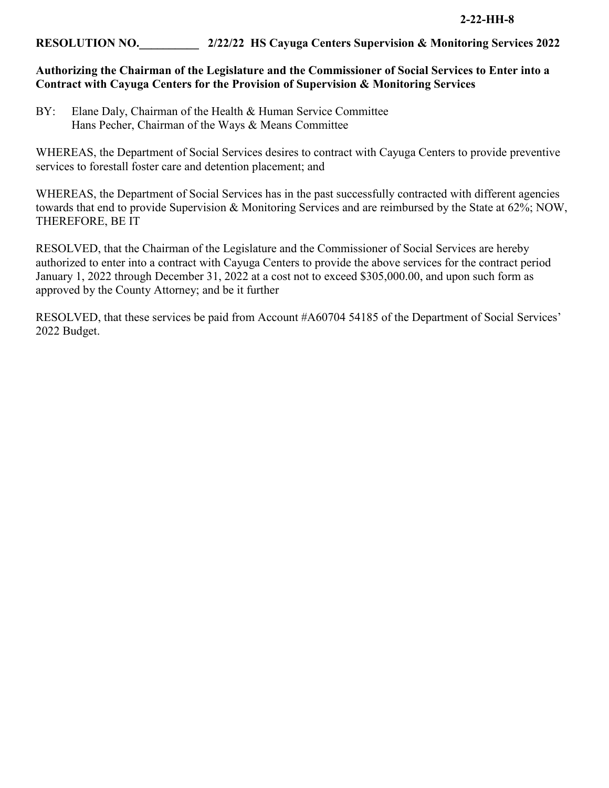# **RESOLUTION NO.\_\_\_\_\_\_\_\_\_\_ 2/22/22 HS Cayuga Centers Supervision & Monitoring Services 2022**

# **Authorizing the Chairman of the Legislature and the Commissioner of Social Services to Enter into a Contract with Cayuga Centers for the Provision of Supervision & Monitoring Services**

BY: Elane Daly, Chairman of the Health & Human Service Committee Hans Pecher, Chairman of the Ways & Means Committee

WHEREAS, the Department of Social Services desires to contract with Cayuga Centers to provide preventive services to forestall foster care and detention placement; and

WHEREAS, the Department of Social Services has in the past successfully contracted with different agencies towards that end to provide Supervision & Monitoring Services and are reimbursed by the State at 62%; NOW, THEREFORE, BE IT

RESOLVED, that the Chairman of the Legislature and the Commissioner of Social Services are hereby authorized to enter into a contract with Cayuga Centers to provide the above services for the contract period January 1, 2022 through December 31, 2022 at a cost not to exceed \$305,000.00, and upon such form as approved by the County Attorney; and be it further

RESOLVED, that these services be paid from Account #A60704 54185 of the Department of Social Services' 2022 Budget.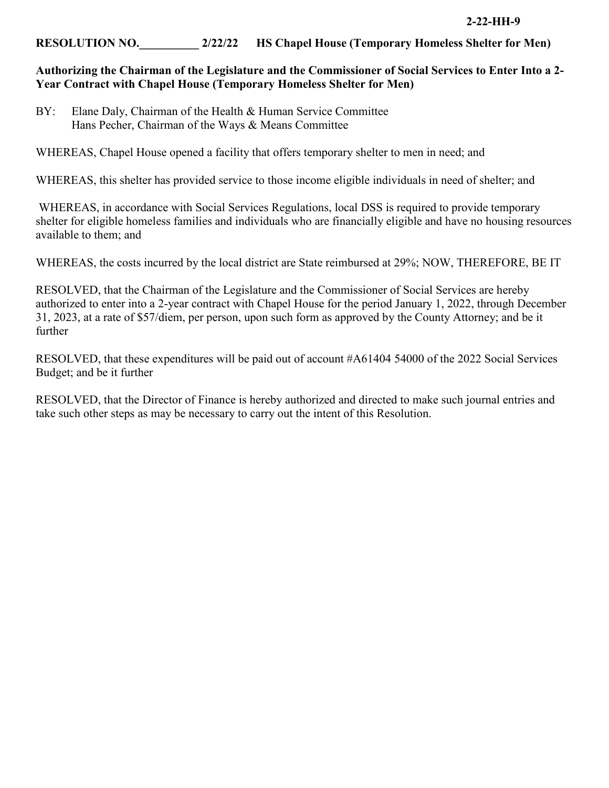# **RESOLUTION NO.\_\_\_\_\_\_\_\_\_\_ 2/22/22 HS Chapel House (Temporary Homeless Shelter for Men)**

# **Authorizing the Chairman of the Legislature and the Commissioner of Social Services to Enter Into a 2- Year Contract with Chapel House (Temporary Homeless Shelter for Men)**

BY: Elane Daly, Chairman of the Health & Human Service Committee Hans Pecher, Chairman of the Ways & Means Committee

WHEREAS, Chapel House opened a facility that offers temporary shelter to men in need; and

WHEREAS, this shelter has provided service to those income eligible individuals in need of shelter; and

WHEREAS, in accordance with Social Services Regulations, local DSS is required to provide temporary shelter for eligible homeless families and individuals who are financially eligible and have no housing resources available to them; and

WHEREAS, the costs incurred by the local district are State reimbursed at 29%; NOW, THEREFORE, BE IT

RESOLVED, that the Chairman of the Legislature and the Commissioner of Social Services are hereby authorized to enter into a 2-year contract with Chapel House for the period January 1, 2022, through December 31, 2023, at a rate of \$57/diem, per person, upon such form as approved by the County Attorney; and be it further

RESOLVED, that these expenditures will be paid out of account #A61404 54000 of the 2022 Social Services Budget; and be it further

RESOLVED, that the Director of Finance is hereby authorized and directed to make such journal entries and take such other steps as may be necessary to carry out the intent of this Resolution.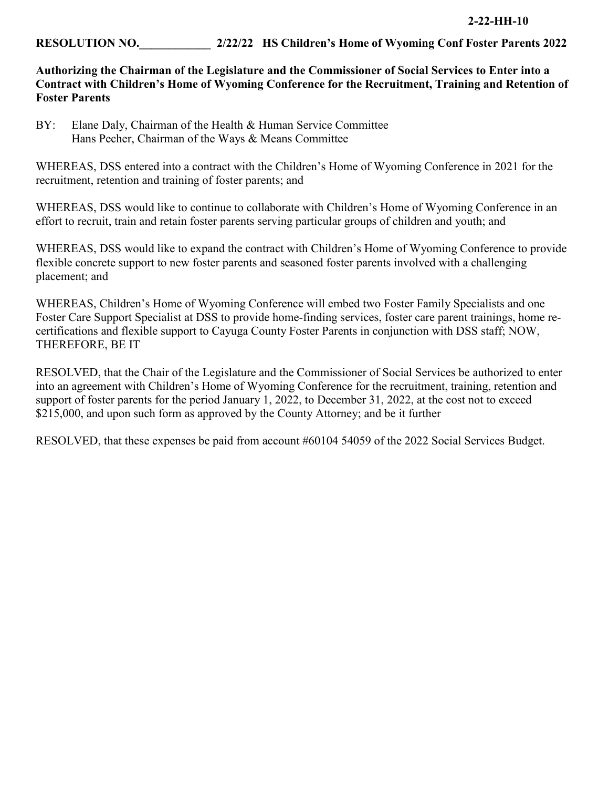# **RESOLUTION NO.\_\_\_\_\_\_\_\_\_\_\_\_ 2/22/22 HS Children's Home of Wyoming Conf Foster Parents 2022**

# **Authorizing the Chairman of the Legislature and the Commissioner of Social Services to Enter into a Contract with Children's Home of Wyoming Conference for the Recruitment, Training and Retention of Foster Parents**

BY: Elane Daly, Chairman of the Health & Human Service Committee Hans Pecher, Chairman of the Ways & Means Committee

WHEREAS, DSS entered into a contract with the Children's Home of Wyoming Conference in 2021 for the recruitment, retention and training of foster parents; and

WHEREAS, DSS would like to continue to collaborate with Children's Home of Wyoming Conference in an effort to recruit, train and retain foster parents serving particular groups of children and youth; and

WHEREAS, DSS would like to expand the contract with Children's Home of Wyoming Conference to provide flexible concrete support to new foster parents and seasoned foster parents involved with a challenging placement; and

WHEREAS, Children's Home of Wyoming Conference will embed two Foster Family Specialists and one Foster Care Support Specialist at DSS to provide home-finding services, foster care parent trainings, home recertifications and flexible support to Cayuga County Foster Parents in conjunction with DSS staff; NOW, THEREFORE, BE IT

RESOLVED, that the Chair of the Legislature and the Commissioner of Social Services be authorized to enter into an agreement with Children's Home of Wyoming Conference for the recruitment, training, retention and support of foster parents for the period January 1, 2022, to December 31, 2022, at the cost not to exceed \$215,000, and upon such form as approved by the County Attorney; and be it further

RESOLVED, that these expenses be paid from account #60104 54059 of the 2022 Social Services Budget.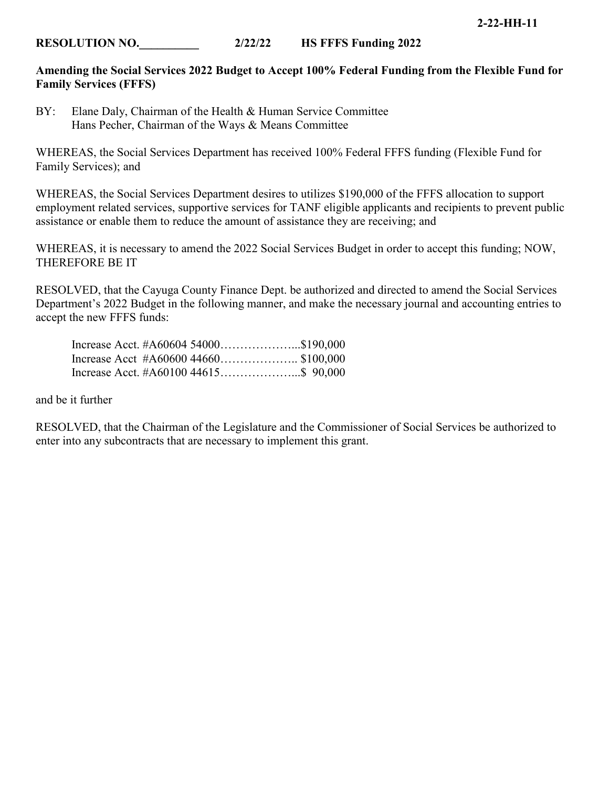# **Amending the Social Services 2022 Budget to Accept 100% Federal Funding from the Flexible Fund for Family Services (FFFS)**

BY: Elane Daly, Chairman of the Health & Human Service Committee Hans Pecher, Chairman of the Ways & Means Committee

WHEREAS, the Social Services Department has received 100% Federal FFFS funding (Flexible Fund for Family Services); and

WHEREAS, the Social Services Department desires to utilizes \$190,000 of the FFFS allocation to support employment related services, supportive services for TANF eligible applicants and recipients to prevent public assistance or enable them to reduce the amount of assistance they are receiving; and

WHEREAS, it is necessary to amend the 2022 Social Services Budget in order to accept this funding; NOW, THEREFORE BE IT

RESOLVED, that the Cayuga County Finance Dept. be authorized and directed to amend the Social Services Department's 2022 Budget in the following manner, and make the necessary journal and accounting entries to accept the new FFFS funds:

|  | Increase Acct. $#A6060454000$ \$190,000 |  |
|--|-----------------------------------------|--|
|  | Increase Acct $#A6060044660$ \$100,000  |  |
|  | Increase Acct. $#A6010044615$ \$ 90,000 |  |

and be it further

RESOLVED, that the Chairman of the Legislature and the Commissioner of Social Services be authorized to enter into any subcontracts that are necessary to implement this grant.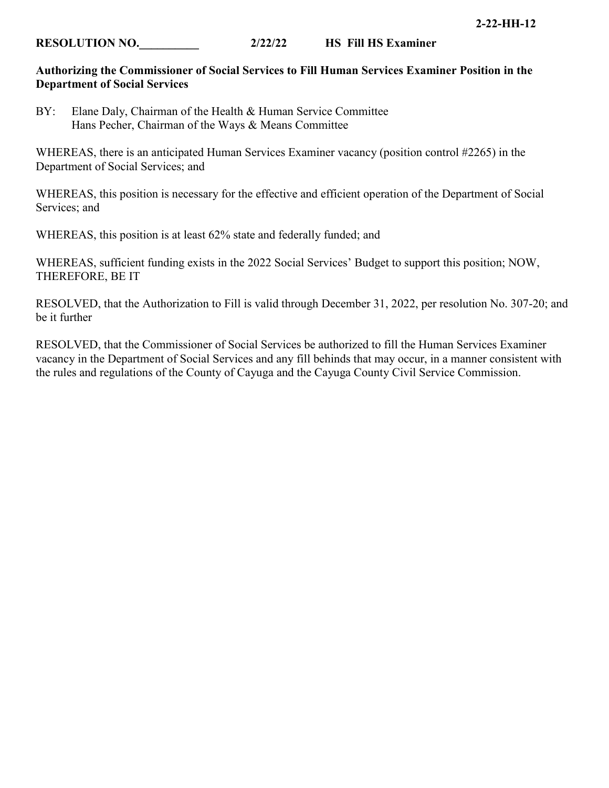# **Authorizing the Commissioner of Social Services to Fill Human Services Examiner Position in the Department of Social Services**

BY: Elane Daly, Chairman of the Health & Human Service Committee Hans Pecher, Chairman of the Ways & Means Committee

WHEREAS, there is an anticipated Human Services Examiner vacancy (position control #2265) in the Department of Social Services; and

WHEREAS, this position is necessary for the effective and efficient operation of the Department of Social Services; and

WHEREAS, this position is at least 62% state and federally funded; and

WHEREAS, sufficient funding exists in the 2022 Social Services' Budget to support this position; NOW, THEREFORE, BE IT

RESOLVED, that the Authorization to Fill is valid through December 31, 2022, per resolution No. 307-20; and be it further

RESOLVED, that the Commissioner of Social Services be authorized to fill the Human Services Examiner vacancy in the Department of Social Services and any fill behinds that may occur, in a manner consistent with the rules and regulations of the County of Cayuga and the Cayuga County Civil Service Commission.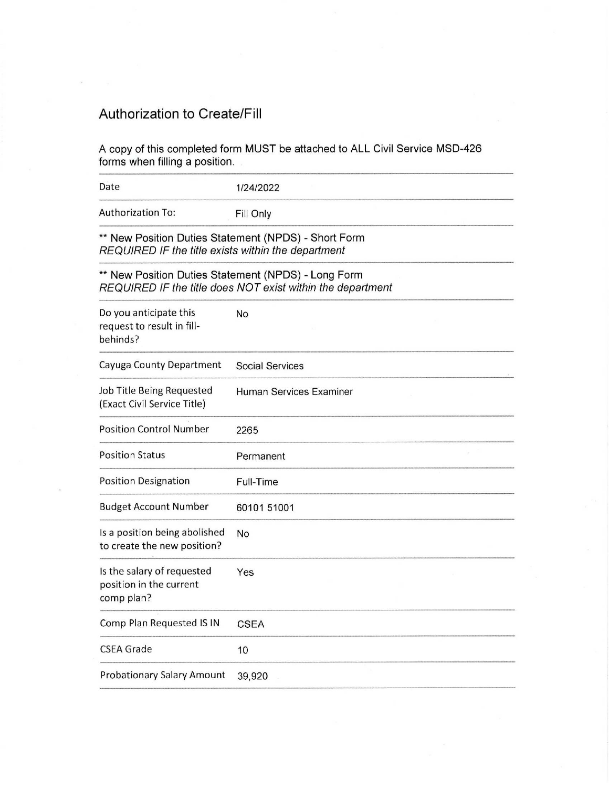# Authorization to Create/Fill

| <b>Authorization to Create/Fill</b>                                                                                                                                                                                                                                                                                                                                                                                                           |                                                                                                                   |
|-----------------------------------------------------------------------------------------------------------------------------------------------------------------------------------------------------------------------------------------------------------------------------------------------------------------------------------------------------------------------------------------------------------------------------------------------|-------------------------------------------------------------------------------------------------------------------|
| forms when filling a position.                                                                                                                                                                                                                                                                                                                                                                                                                | A copy of this completed form MUST be attached to ALL Civil Service MSD-426                                       |
|                                                                                                                                                                                                                                                                                                                                                                                                                                               | 1/24/2022                                                                                                         |
|                                                                                                                                                                                                                                                                                                                                                                                                                                               | Fill Only                                                                                                         |
|                                                                                                                                                                                                                                                                                                                                                                                                                                               | ** New Position Duties Statement (NPDS) - Short Form                                                              |
|                                                                                                                                                                                                                                                                                                                                                                                                                                               |                                                                                                                   |
|                                                                                                                                                                                                                                                                                                                                                                                                                                               | ** New Position Duties Statement (NPDS) - Long Form<br>REQUIRED IF the title does NOT exist within the department |
|                                                                                                                                                                                                                                                                                                                                                                                                                                               | No<br>٠                                                                                                           |
|                                                                                                                                                                                                                                                                                                                                                                                                                                               | <b>Social Services</b>                                                                                            |
|                                                                                                                                                                                                                                                                                                                                                                                                                                               | Human Services Examiner                                                                                           |
|                                                                                                                                                                                                                                                                                                                                                                                                                                               | 2265                                                                                                              |
|                                                                                                                                                                                                                                                                                                                                                                                                                                               | Permanent                                                                                                         |
|                                                                                                                                                                                                                                                                                                                                                                                                                                               | Full-Time                                                                                                         |
|                                                                                                                                                                                                                                                                                                                                                                                                                                               | 60101 51001                                                                                                       |
| Date<br><b>Authorization To:</b><br>REQUIRED IF the title exists within the department<br>Do you anticipate this<br>request to result in fill-<br>behinds?<br>Cayuga County Department<br>Job Title Being Requested<br>(Exact Civil Service Title)<br><b>Position Control Number</b><br><b>Position Status</b><br><b>Position Designation</b><br><b>Budget Account Number</b><br>Is a position being abolished<br>to create the new position? | No                                                                                                                |
|                                                                                                                                                                                                                                                                                                                                                                                                                                               | Yes                                                                                                               |
|                                                                                                                                                                                                                                                                                                                                                                                                                                               | <b>CSEA</b>                                                                                                       |
| Is the salary of requested<br>position in the current<br>comp plan?<br>Comp Plan Requested IS IN<br><b>CSEA Grade</b>                                                                                                                                                                                                                                                                                                                         | 10                                                                                                                |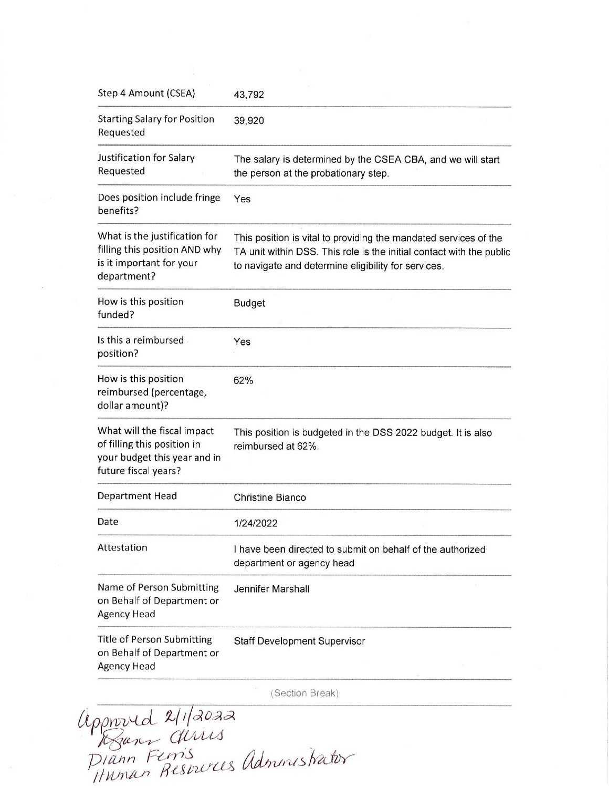| Step 4 Amount (CSEA)<br><b>Starting Salary for Position</b>                                                        | 43,792<br>39,920                                                                                                                                                                                |
|--------------------------------------------------------------------------------------------------------------------|-------------------------------------------------------------------------------------------------------------------------------------------------------------------------------------------------|
| Requested<br>Justification for Salary                                                                              | The salary is determined by the CSEA CBA, and we will start                                                                                                                                     |
| Requested                                                                                                          | the person at the probationary step.                                                                                                                                                            |
| Does position include fringe<br>benefits?                                                                          | Yes                                                                                                                                                                                             |
| What is the justification for<br>filling this position AND why<br>is it important for your<br>department?          | This position is vital to providing the mandated services of the<br>TA unit within DSS. This role is the initial contact with the public<br>to navigate and determine eligibility for services. |
| How is this position<br>funded?                                                                                    | <b>Budget</b>                                                                                                                                                                                   |
| Is this a reimbursed.<br>position?                                                                                 | Yes                                                                                                                                                                                             |
| How is this position<br>reimbursed (percentage,<br>dollar amount)?                                                 | 62%                                                                                                                                                                                             |
| What will the fiscal impact<br>of filling this position in<br>your budget this year and in<br>future fiscal years? | This position is budgeted in the DSS 2022 budget. It is also<br>reimbursed at 62%.                                                                                                              |
| Department Head                                                                                                    | <b>Christine Bianco</b>                                                                                                                                                                         |
| Date                                                                                                               | 1/24/2022                                                                                                                                                                                       |
| Attestation                                                                                                        | I have been directed to submit on behalf of the authorized<br>department or agency head                                                                                                         |
| Name of Person Submitting<br>on Behalf of Department or<br><b>Agency Head</b>                                      | Jennifer Marshall                                                                                                                                                                               |
| <b>Title of Person Submitting</b><br>on Behalf of Department or<br>Agency Head                                     | <b>Staff Development Supervisor</b><br>×                                                                                                                                                        |

(Section Break)<br>
ninishati appoured 2/1/2022  $\frac{1}{\sqrt{2\pi}}$   $\frac{1}{\sqrt{2\pi}}$ Diann Ferris<br>Human Respurces administrator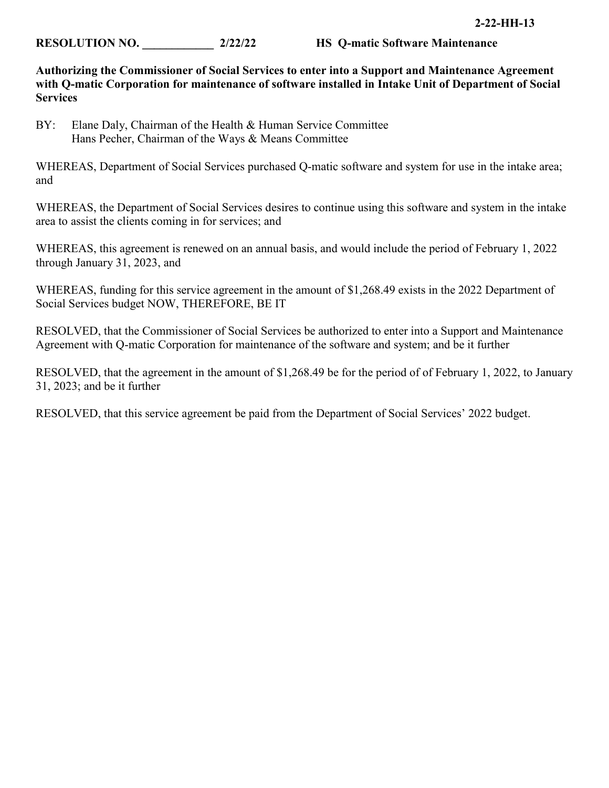**Authorizing the Commissioner of Social Services to enter into a Support and Maintenance Agreement with Q-matic Corporation for maintenance of software installed in Intake Unit of Department of Social Services** 

BY: Elane Daly, Chairman of the Health & Human Service Committee Hans Pecher, Chairman of the Ways & Means Committee

WHEREAS, Department of Social Services purchased Q-matic software and system for use in the intake area; and

WHEREAS, the Department of Social Services desires to continue using this software and system in the intake area to assist the clients coming in for services; and

WHEREAS, this agreement is renewed on an annual basis, and would include the period of February 1, 2022 through January 31, 2023, and

WHEREAS, funding for this service agreement in the amount of \$1,268.49 exists in the 2022 Department of Social Services budget NOW, THEREFORE, BE IT

RESOLVED, that the Commissioner of Social Services be authorized to enter into a Support and Maintenance Agreement with Q-matic Corporation for maintenance of the software and system; and be it further

RESOLVED, that the agreement in the amount of \$1,268.49 be for the period of of February 1, 2022, to January 31, 2023; and be it further

RESOLVED, that this service agreement be paid from the Department of Social Services' 2022 budget.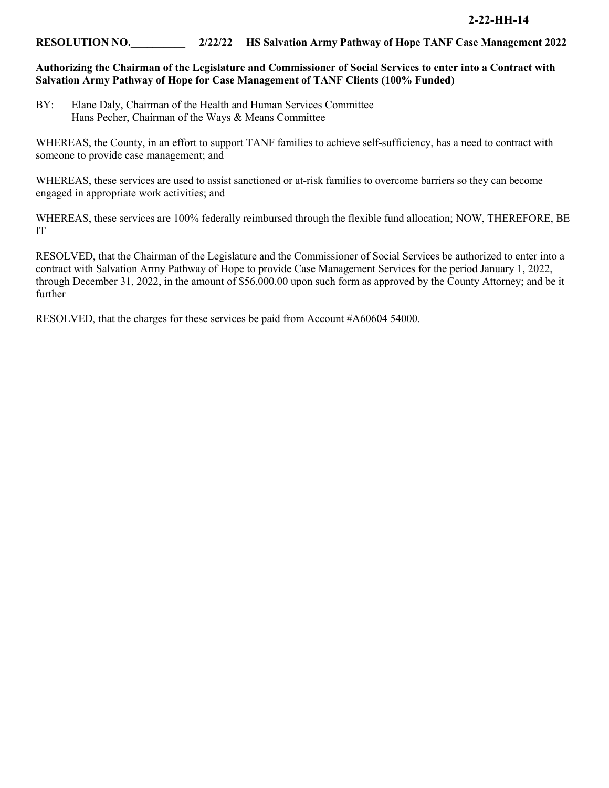## **RESOLUTION NO.\_\_\_\_\_\_\_\_\_\_ 2/22/22 HS Salvation Army Pathway of Hope TANF Case Management 2022**

### **Authorizing the Chairman of the Legislature and Commissioner of Social Services to enter into a Contract with Salvation Army Pathway of Hope for Case Management of TANF Clients (100% Funded)**

BY: Elane Daly, Chairman of the Health and Human Services Committee Hans Pecher, Chairman of the Ways & Means Committee

WHEREAS, the County, in an effort to support TANF families to achieve self-sufficiency, has a need to contract with someone to provide case management; and

WHEREAS, these services are used to assist sanctioned or at-risk families to overcome barriers so they can become engaged in appropriate work activities; and

WHEREAS, these services are 100% federally reimbursed through the flexible fund allocation; NOW, THEREFORE, BE IT

RESOLVED, that the Chairman of the Legislature and the Commissioner of Social Services be authorized to enter into a contract with Salvation Army Pathway of Hope to provide Case Management Services for the period January 1, 2022, through December 31, 2022, in the amount of \$56,000.00 upon such form as approved by the County Attorney; and be it further

RESOLVED, that the charges for these services be paid from Account #A60604 54000.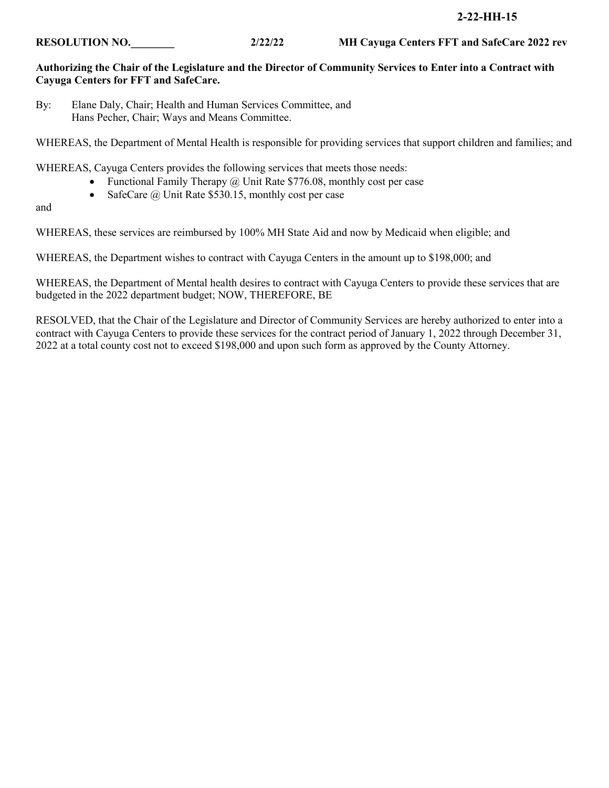# **Authorizing the Chair of the Legislature and the Director of Community Services to Enter into a Contract with Cayuga Centers for FFT and SafeCare.**

By: Elane Daly, Chair; Health and Human Services Committee, and Hans Pecher, Chair; Ways and Means Committee.

WHEREAS, the Department of Mental Health is responsible for providing services that support children and families; and

WHEREAS, Cayuga Centers provides the following services that meets those needs:

- Functional Family Therapy  $\omega$  Unit Rate \$776.08, monthly cost per case
- SafeCare  $\omega$  Unit Rate \$530.15, monthly cost per case

and

WHEREAS, these services are reimbursed by 100% MH State Aid and now by Medicaid when eligible; and

WHEREAS, the Department wishes to contract with Cayuga Centers in the amount up to \$198,000; and

WHEREAS, the Department of Mental health desires to contract with Cayuga Centers to provide these services that are budgeted in the 2022 department budget; NOW, THEREFORE, BE

RESOLVED, that the Chair of the Legislature and Director of Community Services are hereby authorized to enter into a contract with Cayuga Centers to provide these services for the contract period of January 1, 2022 through December 31, 2022 at a total county cost not to exceed \$198,000 and upon such form as approved by the County Attorney.